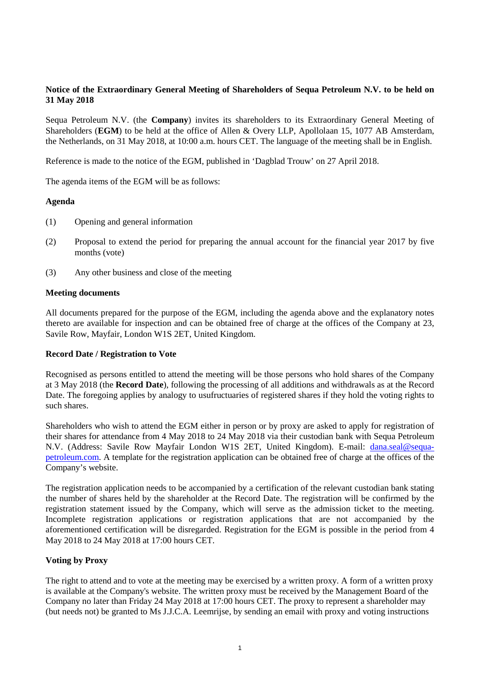## **Notice of the Extraordinary General Meeting of Shareholders of Sequa Petroleum N.V. to be held on 31 May 2018**

Sequa Petroleum N.V. (the **Company**) invites its shareholders to its Extraordinary General Meeting of Shareholders (**EGM**) to be held at the office of Allen & Overy LLP, Apollolaan 15, 1077 AB Amsterdam, the Netherlands, on 31 May 2018, at 10:00 a.m. hours CET. The language of the meeting shall be in English.

Reference is made to the notice of the EGM, published in 'Dagblad Trouw' on 27 April 2018.

The agenda items of the EGM will be as follows:

#### **Agenda**

- (1) Opening and general information
- (2) Proposal to extend the period for preparing the annual account for the financial year 2017 by five months (vote)
- (3) Any other business and close of the meeting

#### **Meeting documents**

All documents prepared for the purpose of the EGM, including the agenda above and the explanatory notes thereto are available for inspection and can be obtained free of charge at the offices of the Company at 23, Savile Row, Mayfair, London W1S 2ET, United Kingdom.

## **Record Date / Registration to Vote**

Recognised as persons entitled to attend the meeting will be those persons who hold shares of the Company at 3 May 2018 (the **Record Date**), following the processing of all additions and withdrawals as at the Record Date. The foregoing applies by analogy to usufructuaries of registered shares if they hold the voting rights to such shares.

Shareholders who wish to attend the EGM either in person or by proxy are asked to apply for registration of their shares for attendance from 4 May 2018 to 24 May 2018 via their custodian bank with Sequa Petroleum N.V. (Address: Savile Row Mayfair London W1S 2ET, United Kingdom). E-mail: [dana.seal@sequa](mailto:dana.seal@sequa-petroleum.com)[petroleum.com.](mailto:dana.seal@sequa-petroleum.com) A template for the registration application can be obtained free of charge at the offices of the Company's website.

The registration application needs to be accompanied by a certification of the relevant custodian bank stating the number of shares held by the shareholder at the Record Date. The registration will be confirmed by the registration statement issued by the Company, which will serve as the admission ticket to the meeting. Incomplete registration applications or registration applications that are not accompanied by the aforementioned certification will be disregarded. Registration for the EGM is possible in the period from 4 May 2018 to 24 May 2018 at 17:00 hours CET.

## **Voting by Proxy**

The right to attend and to vote at the meeting may be exercised by a written proxy. A form of a written proxy is available at the Company's website. The written proxy must be received by the Management Board of the Company no later than Friday 24 May 2018 at 17:00 hours CET. The proxy to represent a shareholder may (but needs not) be granted to Ms J.J.C.A. Leemrijse, by sending an email with proxy and voting instructions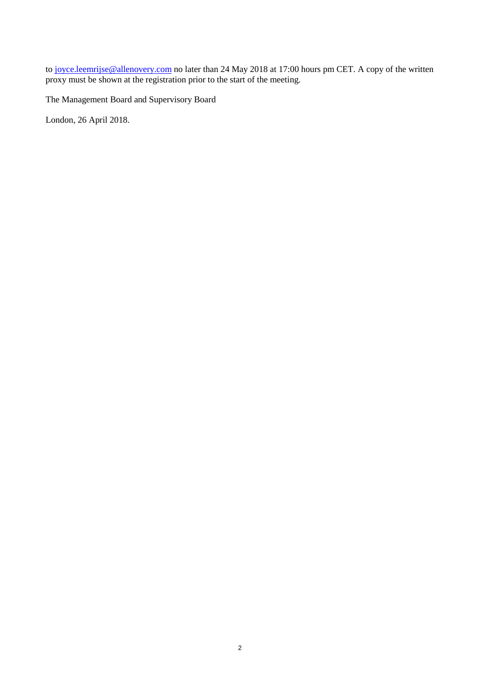to [joyce.leemrijse@allenovery.com](mailto:joyce.leemrijse@allenovery.com) no later than 24 May 2018 at 17:00 hours pm CET. A copy of the written proxy must be shown at the registration prior to the start of the meeting.

The Management Board and Supervisory Board

London, 26 April 2018.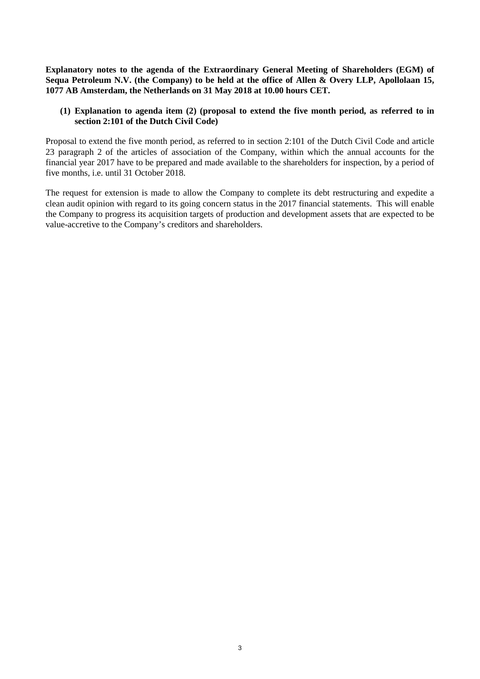**Explanatory notes to the agenda of the Extraordinary General Meeting of Shareholders (EGM) of Sequa Petroleum N.V. (the Company) to be held at the office of Allen & Overy LLP, Apollolaan 15, 1077 AB Amsterdam, the Netherlands on 31 May 2018 at 10.00 hours CET.** 

## **(1) Explanation to agenda item (2) (proposal to extend the five month period, as referred to in section 2:101 of the Dutch Civil Code)**

Proposal to extend the five month period, as referred to in section 2:101 of the Dutch Civil Code and article 23 paragraph 2 of the articles of association of the Company, within which the annual accounts for the financial year 2017 have to be prepared and made available to the shareholders for inspection, by a period of five months, i.e. until 31 October 2018.

The request for extension is made to allow the Company to complete its debt restructuring and expedite a clean audit opinion with regard to its going concern status in the 2017 financial statements. This will enable the Company to progress its acquisition targets of production and development assets that are expected to be value-accretive to the Company's creditors and shareholders.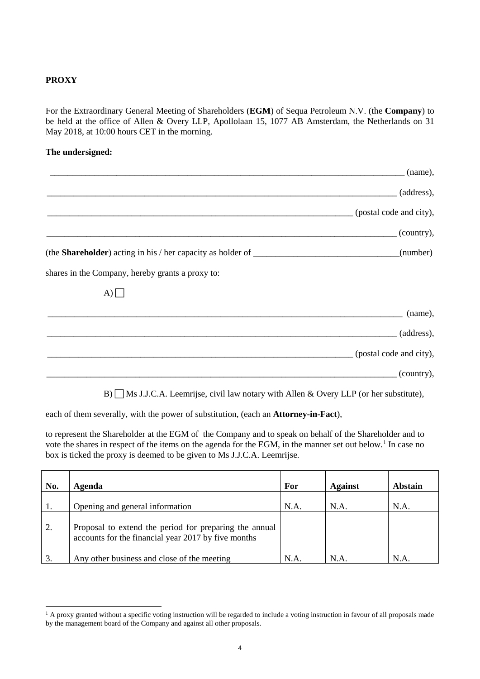# **PROXY**

For the Extraordinary General Meeting of Shareholders (**EGM**) of Sequa Petroleum N.V. (the **Company**) to be held at the office of Allen & Overy LLP, Apollolaan 15, 1077 AB Amsterdam, the Netherlands on 31 May 2018, at 10:00 hours CET in the morning.

## **The undersigned:**

|                                                  | (name),                                  |
|--------------------------------------------------|------------------------------------------|
|                                                  | $_$ (address),                           |
|                                                  | (postal code and city),                  |
|                                                  | $\qquad \qquad \qquad \text{(country)},$ |
|                                                  |                                          |
| shares in the Company, hereby grants a proxy to: |                                          |
| (A)                                              |                                          |
|                                                  | (name),                                  |
|                                                  | (address),                               |
|                                                  | (postal code and city),                  |
|                                                  | $\left($ country $\right)$ ,             |

 $B$ )  $\Box$  Ms J.J.C.A. Leemrijse, civil law notary with Allen & Overy LLP (or her substitute),

each of them severally, with the power of substitution, (each an **Attorney-in-Fact**),

to represent the Shareholder at the EGM of the Company and to speak on behalf of the Shareholder and to vote the shares in respect of the items on the agenda for the EGM, in the manner set out below.<sup>[1](#page-3-0)</sup> In case no box is ticked the proxy is deemed to be given to Ms J.J.C.A. Leemrijse.

| No. | Agenda                                                                                                        | For  | <b>Against</b> | Abstain |
|-----|---------------------------------------------------------------------------------------------------------------|------|----------------|---------|
|     | Opening and general information                                                                               | N.A. | N.A.           | N.A.    |
| 2.  | Proposal to extend the period for preparing the annual<br>accounts for the financial year 2017 by five months |      |                |         |
| 3.  | Any other business and close of the meeting                                                                   | N.A. | N.A.           | N.A     |

<span id="page-3-0"></span><sup>&</sup>lt;sup>1</sup> A proxy granted without a specific voting instruction will be regarded to include a voting instruction in favour of all proposals made by the management board of the Company and against all other proposals.